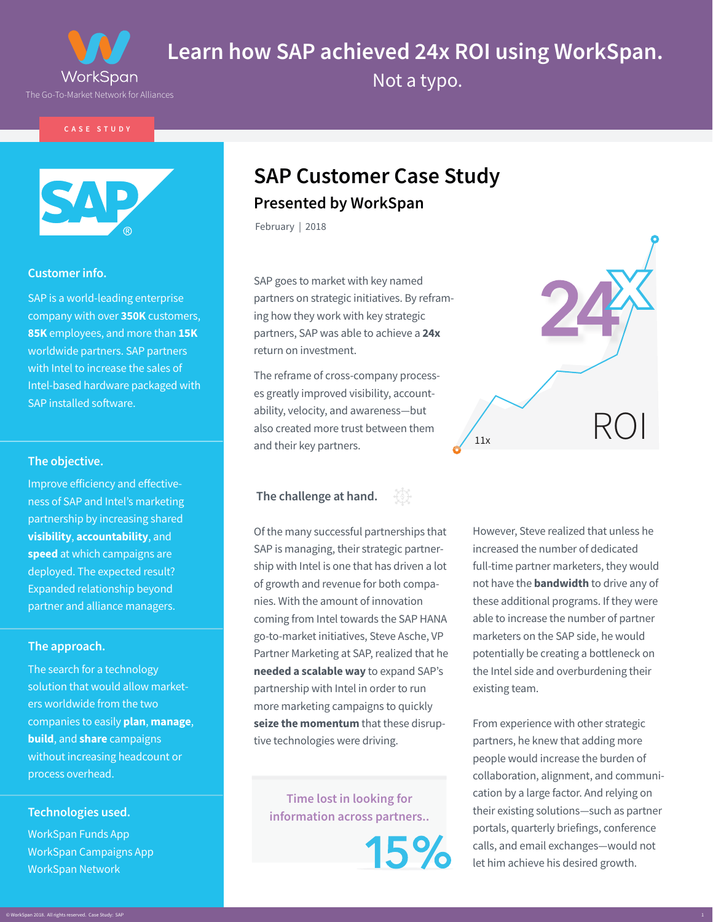

**Learn how SAP achieved 24x ROI using WorkSpan.** 

Not a typo.

**CASE STUDY**



## **Customer info.**

SAP is a world-leading enterprise company with over **350K** customers, **85K** employees, and more than **15K**  worldwide partners. SAP partners with Intel to increase the sales of Intel-based hardware packaged with SAP installed software.

## **The objective.**

Improve efficiency and effectiveness of SAP and Intel's marketing partnership by increasing shared **visibility**, **accountability**, and **speed** at which campaigns are deployed. The expected result? Expanded relationship beyond partner and alliance managers.

## **The approach.**

The search for a technology solution that would allow marketers worldwide from the two companies to easily **plan**, **manage**, **build**, and **share** campaigns without increasing headcount or process overhead.

## **Technologies used.**

WorkSpan Funds App WorkSpan Campaigns App WorkSpan Network

# **SAP Customer Case Study Presented by WorkSpan**

February | 2018

SAP goes to market with key named partners on strategic initiatives. By reframing how they work with key strategic partners, SAP was able to achieve a **24x** return on investment.

The reframe of cross-company processes greatly improved visibility, accountability, velocity, and awareness—but also created more trust between them and their key partners.

## **The challenge at hand.**



Of the many successful partnerships that SAP is managing, their strategic partnership with Intel is one that has driven a lot of growth and revenue for both companies. With the amount of innovation coming from Intel towards the SAP HANA go-to-market initiatives, Steve Asche, VP Partner Marketing at SAP, realized that he **needed a scalable way** to expand SAP's partnership with Intel in order to run more marketing campaigns to quickly **seize the momentum** that these disruptive technologies were driving.

**Time lost in looking for information across partners..**

15%

However, Steve realized that unless he increased the number of dedicated full-time partner marketers, they would not have the **bandwidth** to drive any of these additional programs. If they were able to increase the number of partner marketers on the SAP side, he would potentially be creating a bottleneck on the Intel side and overburdening their existing team.

From experience with other strategic partners, he knew that adding more people would increase the burden of collaboration, alignment, and communication by a large factor. And relying on their existing solutions—such as partner portals, quarterly briefings, conference calls, and email exchanges—would not let him achieve his desired growth.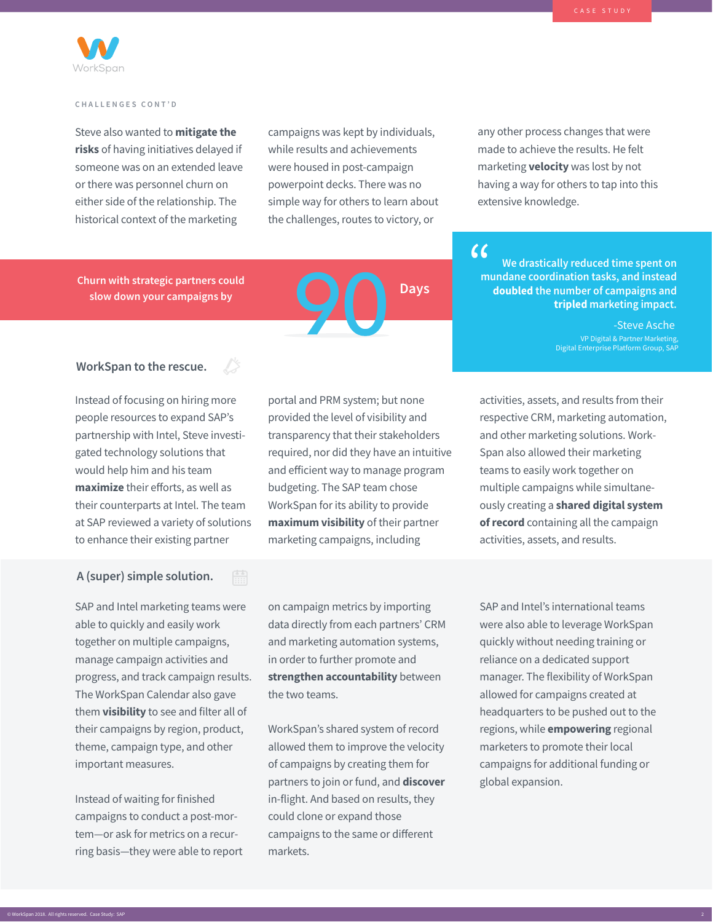

#### **CHALLENGES CONT'D**

Steve also wanted to **mitigate the risks** of having initiatives delayed if someone was on an extended leave or there was personnel churn on either side of the relationship. The historical context of the marketing

campaigns was kept by individuals, while results and achievements were housed in post-campaign powerpoint decks. There was no simple way for others to learn about the challenges, routes to victory, or

any other process changes that were made to achieve the results. He felt marketing **velocity** was lost by not having a way for others to tap into this extensive knowledge.

**Churn with strategic partners could** slow down your campaigns by **Days** 



**We drastically reduced time spent on mundane coordination tasks, and instead doubled the number of campaigns and tripled marketing impact.**  $\epsilon$ 

> -Steve Asche VP Digital & Partner Marketing, Digital Enterprise Platform Group, SAP

## **WorkSpan to the rescue.**

Instead of focusing on hiring more people resources to expand SAP's partnership with Intel, Steve investigated technology solutions that would help him and his team **maximize** their efforts, as well as their counterparts at Intel. The team at SAP reviewed a variety of solutions to enhance their existing partner

## **A (super) simple solution.**

SAP and Intel marketing teams were able to quickly and easily work together on multiple campaigns, manage campaign activities and progress, and track campaign results. The WorkSpan Calendar also gave them **visibility** to see and filter all of their campaigns by region, product, theme, campaign type, and other important measures.

Instead of waiting for finished campaigns to conduct a post-mortem—or ask for metrics on a recurring basis—they were able to report portal and PRM system; but none provided the level of visibility and transparency that their stakeholders required, nor did they have an intuitive and efficient way to manage program budgeting. The SAP team chose WorkSpan for its ability to provide **maximum visibility** of their partner marketing campaigns, including

on campaign metrics by importing data directly from each partners' CRM and marketing automation systems, in order to further promote and **strengthen accountability** between the two teams.

WorkSpan's shared system of record allowed them to improve the velocity of campaigns by creating them for partners to join or fund, and **discover** in-flight. And based on results, they could clone or expand those campaigns to the same or different markets.

activities, assets, and results from their respective CRM, marketing automation, and other marketing solutions. Work-Span also allowed their marketing teams to easily work together on multiple campaigns while simultaneously creating a **shared digital system of record** containing all the campaign activities, assets, and results.

SAP and Intel's international teams were also able to leverage WorkSpan quickly without needing training or reliance on a dedicated support manager. The flexibility of WorkSpan allowed for campaigns created at headquarters to be pushed out to the regions, while **empowering** regional marketers to promote their local campaigns for additional funding or global expansion.